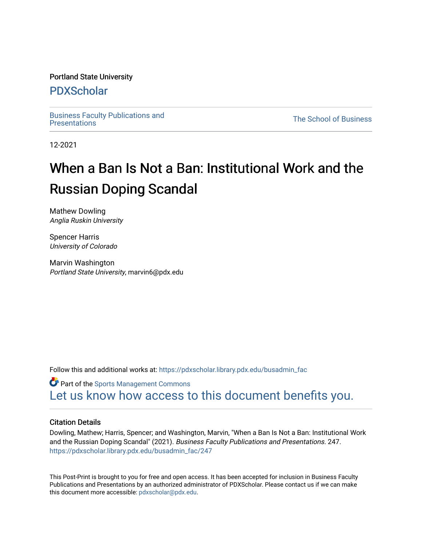#### Portland State University

### [PDXScholar](https://pdxscholar.library.pdx.edu/)

[Business Faculty Publications and](https://pdxscholar.library.pdx.edu/busadmin_fac) 

**The School of Business** 

12-2021

# When a Ban Is Not a Ban: Institutional Work and the Russian Doping Scandal

Mathew Dowling Anglia Ruskin University

Spencer Harris University of Colorado

Marvin Washington Portland State University, marvin6@pdx.edu

Follow this and additional works at: [https://pdxscholar.library.pdx.edu/busadmin\\_fac](https://pdxscholar.library.pdx.edu/busadmin_fac?utm_source=pdxscholar.library.pdx.edu%2Fbusadmin_fac%2F247&utm_medium=PDF&utm_campaign=PDFCoverPages) 

**Part of the [Sports Management Commons](http://network.bepress.com/hgg/discipline/1193?utm_source=pdxscholar.library.pdx.edu%2Fbusadmin_fac%2F247&utm_medium=PDF&utm_campaign=PDFCoverPages)** [Let us know how access to this document benefits you.](http://library.pdx.edu/services/pdxscholar-services/pdxscholar-feedback/?ref=https://pdxscholar.library.pdx.edu/busadmin_fac/247) 

#### Citation Details

Dowling, Mathew; Harris, Spencer; and Washington, Marvin, "When a Ban Is Not a Ban: Institutional Work and the Russian Doping Scandal" (2021). Business Faculty Publications and Presentations. 247. [https://pdxscholar.library.pdx.edu/busadmin\\_fac/247](https://pdxscholar.library.pdx.edu/busadmin_fac/247?utm_source=pdxscholar.library.pdx.edu%2Fbusadmin_fac%2F247&utm_medium=PDF&utm_campaign=PDFCoverPages) 

This Post-Print is brought to you for free and open access. It has been accepted for inclusion in Business Faculty Publications and Presentations by an authorized administrator of PDXScholar. Please contact us if we can make this document more accessible: [pdxscholar@pdx.edu.](mailto:pdxscholar@pdx.edu)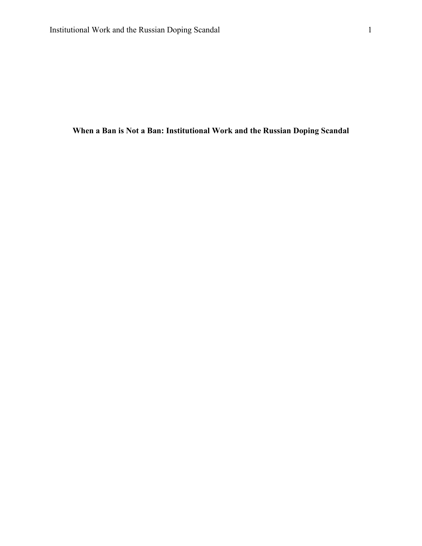**When a Ban is Not a Ban: Institutional Work and the Russian Doping Scandal**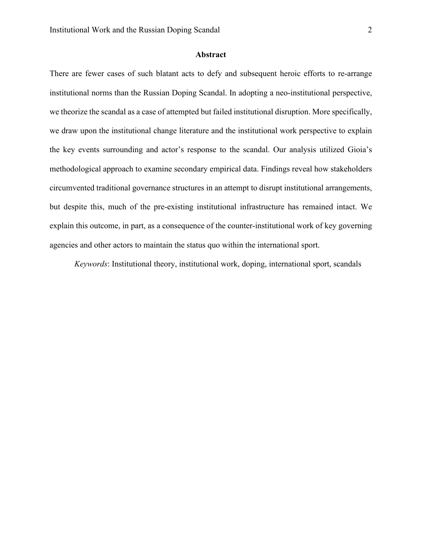#### **Abstract**

There are fewer cases of such blatant acts to defy and subsequent heroic efforts to re-arrange institutional norms than the Russian Doping Scandal. In adopting a neo-institutional perspective, we theorize the scandal as a case of attempted but failed institutional disruption. More specifically, we draw upon the institutional change literature and the institutional work perspective to explain the key events surrounding and actor's response to the scandal. Our analysis utilized Gioia's methodological approach to examine secondary empirical data. Findings reveal how stakeholders circumvented traditional governance structures in an attempt to disrupt institutional arrangements, but despite this, much of the pre-existing institutional infrastructure has remained intact. We explain this outcome, in part, as a consequence of the counter-institutional work of key governing agencies and other actors to maintain the status quo within the international sport.

*Keywords*: Institutional theory, institutional work, doping, international sport, scandals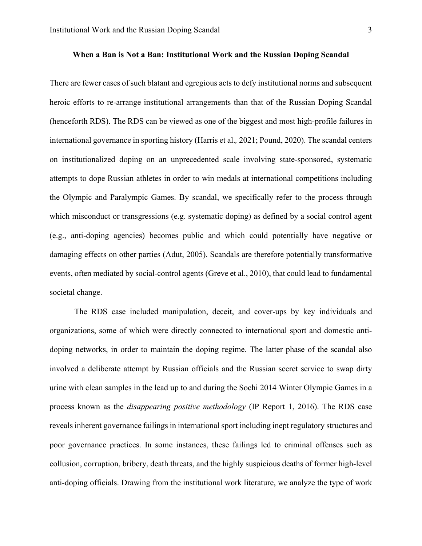#### **When a Ban is Not a Ban: Institutional Work and the Russian Doping Scandal**

There are fewer cases of such blatant and egregious acts to defy institutional norms and subsequent heroic efforts to re-arrange institutional arrangements than that of the Russian Doping Scandal (henceforth RDS). The RDS can be viewed as one of the biggest and most high-profile failures in international governance in sporting history (Harris et al.*,* 2021; Pound, 2020). The scandal centers on institutionalized doping on an unprecedented scale involving state-sponsored, systematic attempts to dope Russian athletes in order to win medals at international competitions including the Olympic and Paralympic Games. By scandal, we specifically refer to the process through which misconduct or transgressions (e.g. systematic doping) as defined by a social control agent (e.g., anti-doping agencies) becomes public and which could potentially have negative or damaging effects on other parties (Adut, 2005). Scandals are therefore potentially transformative events, often mediated by social-control agents (Greve et al., 2010), that could lead to fundamental societal change.

The RDS case included manipulation, deceit, and cover-ups by key individuals and organizations, some of which were directly connected to international sport and domestic antidoping networks, in order to maintain the doping regime. The latter phase of the scandal also involved a deliberate attempt by Russian officials and the Russian secret service to swap dirty urine with clean samples in the lead up to and during the Sochi 2014 Winter Olympic Games in a process known as the *disappearing positive methodology* (IP Report 1, 2016). The RDS case reveals inherent governance failings in international sport including inept regulatory structures and poor governance practices. In some instances, these failings led to criminal offenses such as collusion, corruption, bribery, death threats, and the highly suspicious deaths of former high-level anti-doping officials. Drawing from the institutional work literature, we analyze the type of work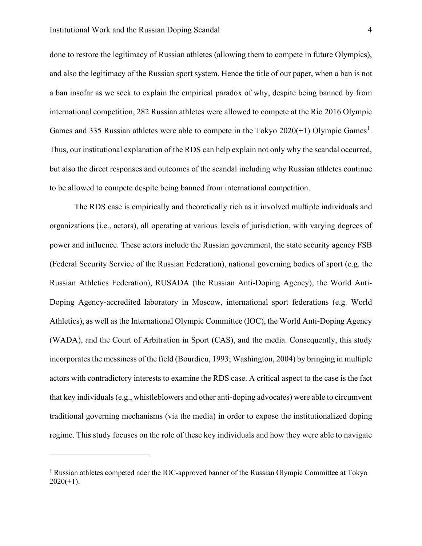done to restore the legitimacy of Russian athletes (allowing them to compete in future Olympics), and also the legitimacy of the Russian sport system. Hence the title of our paper, when a ban is not a ban insofar as we seek to explain the empirical paradox of why, despite being banned by from international competition, 282 Russian athletes were allowed to compete at the Rio 2016 Olympic Games and 335 Russian athletes were able to compete in the Tokyo  $2020(+1)$  $2020(+1)$  $2020(+1)$  Olympic Games<sup>1</sup>. Thus, our institutional explanation of the RDS can help explain not only why the scandal occurred, but also the direct responses and outcomes of the scandal including why Russian athletes continue to be allowed to compete despite being banned from international competition.

The RDS case is empirically and theoretically rich as it involved multiple individuals and organizations (i.e., actors), all operating at various levels of jurisdiction, with varying degrees of power and influence. These actors include the Russian government, the state security agency FSB (Federal Security Service of the Russian Federation), national governing bodies of sport (e.g. the Russian Athletics Federation), RUSADA (the Russian Anti-Doping Agency), the World Anti-Doping Agency-accredited laboratory in Moscow, international sport federations (e.g. World Athletics), as well as the International Olympic Committee (IOC), the World Anti-Doping Agency (WADA), and the Court of Arbitration in Sport (CAS), and the media. Consequently, this study incorporates the messiness of the field (Bourdieu, 1993; Washington, 2004) by bringing in multiple actors with contradictory interests to examine the RDS case. A critical aspect to the case is the fact that key individuals (e.g., whistleblowers and other anti-doping advocates) were able to circumvent traditional governing mechanisms (via the media) in order to expose the institutionalized doping regime. This study focuses on the role of these key individuals and how they were able to navigate

<span id="page-4-0"></span><sup>&</sup>lt;sup>1</sup> Russian athletes competed nder the IOC-approved banner of the Russian Olympic Committee at Tokyo  $2020(+1)$ .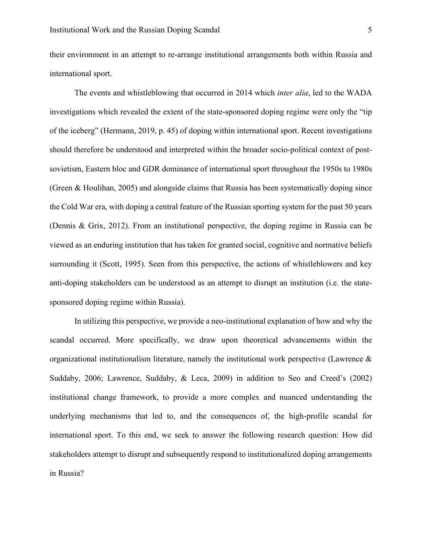their environment in an attempt to re-arrange institutional arrangements both within Russia and international sport.

The events and whistleblowing that occurred in 2014 which *inter alia*, led to the WADA investigations which revealed the extent of the state-sponsored doping regime were only the "tip of the iceberg" (Hermann, 2019, p. 45) of doping within international sport. Recent investigations should therefore be understood and interpreted within the broader socio-political context of postsovietism, Eastern bloc and GDR dominance of international sport throughout the 1950s to 1980s (Green & Houlihan, 2005) and alongside claims that Russia has been systematically doping since the Cold War era, with doping a central feature of the Russian sporting system for the past 50 years (Dennis & Grix, 2012). From an institutional perspective, the doping regime in Russia can be viewed as an enduring institution that has taken for granted social, cognitive and normative beliefs surrounding it (Scott, 1995). Seen from this perspective, the actions of whistleblowers and key anti-doping stakeholders can be understood as an attempt to disrupt an institution (i.e. the statesponsored doping regime within Russia).

In utilizing this perspective, we provide a neo-institutional explanation of how and why the scandal occurred. More specifically, we draw upon theoretical advancements within the organizational institutionalism literature, namely the institutional work perspective (Lawrence  $\&$ Suddaby, 2006; Lawrence, Suddaby, & Leca, 2009) in addition to Seo and Creed's (2002) institutional change framework, to provide a more complex and nuanced understanding the underlying mechanisms that led to, and the consequences of, the high-profile scandal for international sport. To this end, we seek to answer the following research question: How did stakeholders attempt to disrupt and subsequently respond to institutionalized doping arrangements in Russia?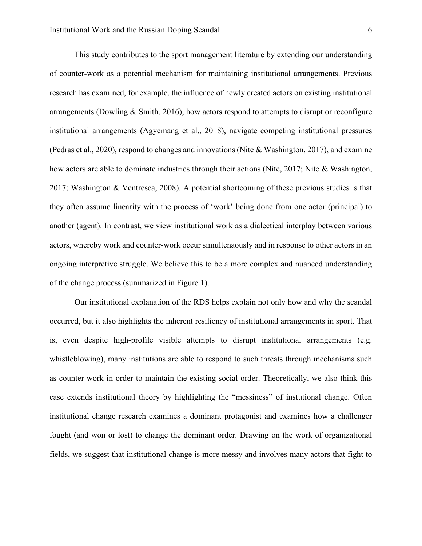This study contributes to the sport management literature by extending our understanding of counter-work as a potential mechanism for maintaining institutional arrangements. Previous research has examined, for example, the influence of newly created actors on existing institutional arrangements (Dowling & Smith, 2016), how actors respond to attempts to disrupt or reconfigure institutional arrangements (Agyemang et al., 2018), navigate competing institutional pressures (Pedras et al., 2020), respond to changes and innovations (Nite & Washington, 2017), and examine how actors are able to dominate industries through their actions (Nite, 2017; Nite & Washington, 2017; Washington & Ventresca, 2008). A potential shortcoming of these previous studies is that they often assume linearity with the process of 'work' being done from one actor (principal) to another (agent). In contrast, we view institutional work as a dialectical interplay between various actors, whereby work and counter-work occur simultenaously and in response to other actors in an ongoing interpretive struggle. We believe this to be a more complex and nuanced understanding of the change process (summarized in Figure 1).

Our institutional explanation of the RDS helps explain not only how and why the scandal occurred, but it also highlights the inherent resiliency of institutional arrangements in sport. That is, even despite high-profile visible attempts to disrupt institutional arrangements (e.g. whistleblowing), many institutions are able to respond to such threats through mechanisms such as counter-work in order to maintain the existing social order. Theoretically, we also think this case extends institutional theory by highlighting the "messiness" of instutional change. Often institutional change research examines a dominant protagonist and examines how a challenger fought (and won or lost) to change the dominant order. Drawing on the work of organizational fields, we suggest that institutional change is more messy and involves many actors that fight to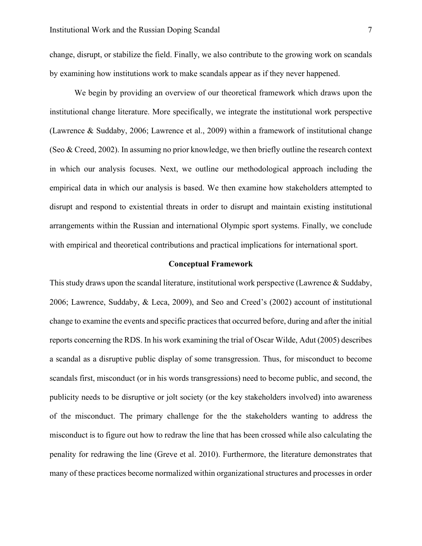change, disrupt, or stabilize the field. Finally, we also contribute to the growing work on scandals by examining how institutions work to make scandals appear as if they never happened.

We begin by providing an overview of our theoretical framework which draws upon the institutional change literature. More specifically, we integrate the institutional work perspective (Lawrence & Suddaby, 2006; Lawrence et al., 2009) within a framework of institutional change (Seo & Creed, 2002). In assuming no prior knowledge, we then briefly outline the research context in which our analysis focuses. Next, we outline our methodological approach including the empirical data in which our analysis is based. We then examine how stakeholders attempted to disrupt and respond to existential threats in order to disrupt and maintain existing institutional arrangements within the Russian and international Olympic sport systems. Finally, we conclude with empirical and theoretical contributions and practical implications for international sport.

#### **Conceptual Framework**

This study draws upon the scandal literature, institutional work perspective (Lawrence & Suddaby, 2006; Lawrence, Suddaby, & Leca, 2009), and Seo and Creed's (2002) account of institutional change to examine the events and specific practices that occurred before, during and after the initial reports concerning the RDS. In his work examining the trial of Oscar Wilde, Adut (2005) describes a scandal as a disruptive public display of some transgression. Thus, for misconduct to become scandals first, misconduct (or in his words transgressions) need to become public, and second, the publicity needs to be disruptive or jolt society (or the key stakeholders involved) into awareness of the misconduct. The primary challenge for the the stakeholders wanting to address the misconduct is to figure out how to redraw the line that has been crossed while also calculating the penality for redrawing the line (Greve et al. 2010). Furthermore, the literature demonstrates that many of these practices become normalized within organizational structures and processes in order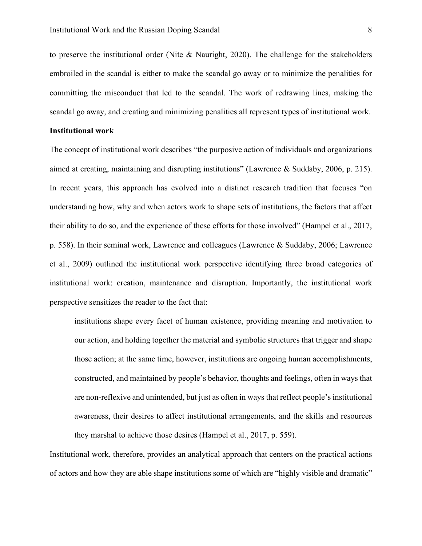to preserve the institutional order (Nite & Nauright, 2020). The challenge for the stakeholders embroiled in the scandal is either to make the scandal go away or to minimize the penalities for committing the misconduct that led to the scandal. The work of redrawing lines, making the scandal go away, and creating and minimizing penalities all represent types of institutional work.

#### **Institutional work**

The concept of institutional work describes "the purposive action of individuals and organizations aimed at creating, maintaining and disrupting institutions" (Lawrence & Suddaby, 2006, p. 215). In recent years, this approach has evolved into a distinct research tradition that focuses "on understanding how, why and when actors work to shape sets of institutions, the factors that affect their ability to do so, and the experience of these efforts for those involved" (Hampel et al., 2017, p. 558). In their seminal work, Lawrence and colleagues (Lawrence & Suddaby, 2006; Lawrence et al., 2009) outlined the institutional work perspective identifying three broad categories of institutional work: creation, maintenance and disruption. Importantly, the institutional work perspective sensitizes the reader to the fact that:

institutions shape every facet of human existence, providing meaning and motivation to our action, and holding together the material and symbolic structures that trigger and shape those action; at the same time, however, institutions are ongoing human accomplishments, constructed, and maintained by people's behavior, thoughts and feelings, often in ways that are non-reflexive and unintended, but just as often in ways that reflect people's institutional awareness, their desires to affect institutional arrangements, and the skills and resources they marshal to achieve those desires (Hampel et al., 2017, p. 559).

Institutional work, therefore, provides an analytical approach that centers on the practical actions of actors and how they are able shape institutions some of which are "highly visible and dramatic"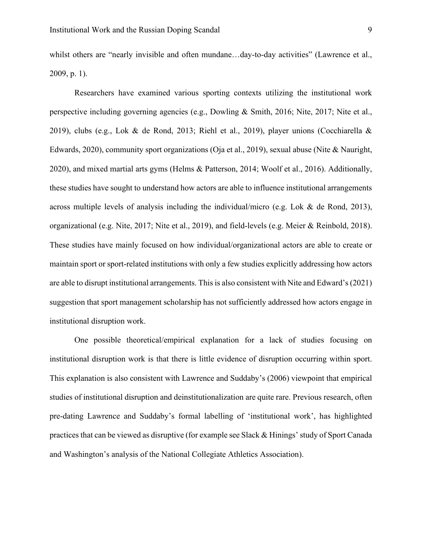whilst others are "nearly invisible and often mundane...day-to-day activities" (Lawrence et al., 2009, p. 1).

Researchers have examined various sporting contexts utilizing the institutional work perspective including governing agencies (e.g., Dowling & Smith, 2016; Nite, 2017; Nite et al., 2019), clubs (e.g., Lok & de Rond, 2013; Riehl et al., 2019), player unions (Cocchiarella & Edwards, 2020), community sport organizations (Oja et al., 2019), sexual abuse (Nite & Nauright, 2020), and mixed martial arts gyms (Helms & Patterson, 2014; Woolf et al., 2016). Additionally, these studies have sought to understand how actors are able to influence institutional arrangements across multiple levels of analysis including the individual/micro (e.g. Lok & de Rond, 2013), organizational (e.g. Nite, 2017; Nite et al., 2019), and field-levels (e.g. Meier & Reinbold, 2018). These studies have mainly focused on how individual/organizational actors are able to create or maintain sport or sport-related institutions with only a few studies explicitly addressing how actors are able to disrupt institutional arrangements. This is also consistent with Nite and Edward's (2021) suggestion that sport management scholarship has not sufficiently addressed how actors engage in institutional disruption work.

One possible theoretical/empirical explanation for a lack of studies focusing on institutional disruption work is that there is little evidence of disruption occurring within sport. This explanation is also consistent with Lawrence and Suddaby's (2006) viewpoint that empirical studies of institutional disruption and deinstitutionalization are quite rare. Previous research, often pre-dating Lawrence and Suddaby's formal labelling of 'institutional work', has highlighted practices that can be viewed as disruptive (for example see Slack & Hinings' study of Sport Canada and Washington's analysis of the National Collegiate Athletics Association).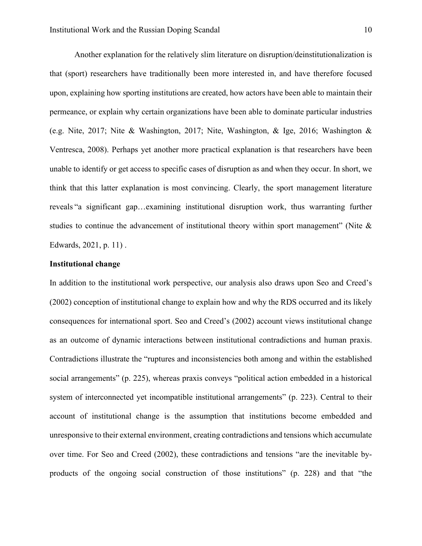Another explanation for the relatively slim literature on disruption/deinstitutionalization is that (sport) researchers have traditionally been more interested in, and have therefore focused upon, explaining how sporting institutions are created, how actors have been able to maintain their permeance, or explain why certain organizations have been able to dominate particular industries (e.g. Nite, 2017; Nite & Washington, 2017; Nite, Washington, & Ige, 2016; Washington & Ventresca, 2008). Perhaps yet another more practical explanation is that researchers have been unable to identify or get access to specific cases of disruption as and when they occur. In short, we think that this latter explanation is most convincing. Clearly, the sport management literature reveals "a significant gap…examining institutional disruption work, thus warranting further studies to continue the advancement of institutional theory within sport management" (Nite & Edwards, 2021, p. 11) .

#### **Institutional change**

In addition to the institutional work perspective, our analysis also draws upon Seo and Creed's (2002) conception of institutional change to explain how and why the RDS occurred and its likely consequences for international sport. Seo and Creed's (2002) account views institutional change as an outcome of dynamic interactions between institutional contradictions and human praxis. Contradictions illustrate the "ruptures and inconsistencies both among and within the established social arrangements" (p. 225), whereas praxis conveys "political action embedded in a historical system of interconnected yet incompatible institutional arrangements" (p. 223). Central to their account of institutional change is the assumption that institutions become embedded and unresponsive to their external environment, creating contradictions and tensions which accumulate over time. For Seo and Creed (2002), these contradictions and tensions "are the inevitable byproducts of the ongoing social construction of those institutions" (p. 228) and that "the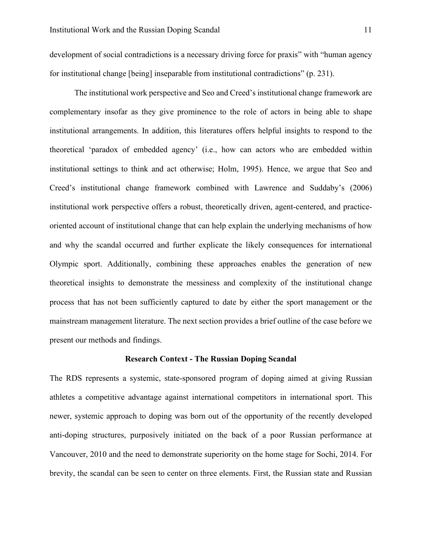development of social contradictions is a necessary driving force for praxis" with "human agency for institutional change [being] inseparable from institutional contradictions" (p. 231).

The institutional work perspective and Seo and Creed's institutional change framework are complementary insofar as they give prominence to the role of actors in being able to shape institutional arrangements. In addition, this literatures offers helpful insights to respond to the theoretical 'paradox of embedded agency' (i.e., how can actors who are embedded within institutional settings to think and act otherwise; Holm, 1995). Hence, we argue that Seo and Creed's institutional change framework combined with Lawrence and Suddaby's (2006) institutional work perspective offers a robust, theoretically driven, agent-centered, and practiceoriented account of institutional change that can help explain the underlying mechanisms of how and why the scandal occurred and further explicate the likely consequences for international Olympic sport. Additionally, combining these approaches enables the generation of new theoretical insights to demonstrate the messiness and complexity of the institutional change process that has not been sufficiently captured to date by either the sport management or the mainstream management literature. The next section provides a brief outline of the case before we present our methods and findings.

#### **Research Context - The Russian Doping Scandal**

The RDS represents a systemic, state-sponsored program of doping aimed at giving Russian athletes a competitive advantage against international competitors in international sport. This newer, systemic approach to doping was born out of the opportunity of the recently developed anti-doping structures, purposively initiated on the back of a poor Russian performance at Vancouver, 2010 and the need to demonstrate superiority on the home stage for Sochi, 2014. For brevity, the scandal can be seen to center on three elements. First, the Russian state and Russian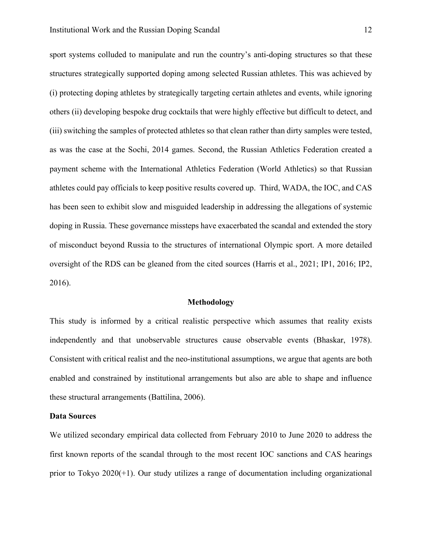sport systems colluded to manipulate and run the country's anti-doping structures so that these structures strategically supported doping among selected Russian athletes. This was achieved by (i) protecting doping athletes by strategically targeting certain athletes and events, while ignoring others (ii) developing bespoke drug cocktails that were highly effective but difficult to detect, and (iii) switching the samples of protected athletes so that clean rather than dirty samples were tested, as was the case at the Sochi, 2014 games. Second, the Russian Athletics Federation created a payment scheme with the International Athletics Federation (World Athletics) so that Russian athletes could pay officials to keep positive results covered up. Third, WADA, the IOC, and CAS has been seen to exhibit slow and misguided leadership in addressing the allegations of systemic doping in Russia. These governance missteps have exacerbated the scandal and extended the story of misconduct beyond Russia to the structures of international Olympic sport. A more detailed oversight of the RDS can be gleaned from the cited sources (Harris et al., 2021; IP1, 2016; IP2, 2016).

#### **Methodology**

This study is informed by a critical realistic perspective which assumes that reality exists independently and that unobservable structures cause observable events (Bhaskar, 1978). Consistent with critical realist and the neo-institutional assumptions, we argue that agents are both enabled and constrained by institutional arrangements but also are able to shape and influence these structural arrangements (Battilina, 2006).

#### **Data Sources**

We utilized secondary empirical data collected from February 2010 to June 2020 to address the first known reports of the scandal through to the most recent IOC sanctions and CAS hearings prior to Tokyo 2020(+1). Our study utilizes a range of documentation including organizational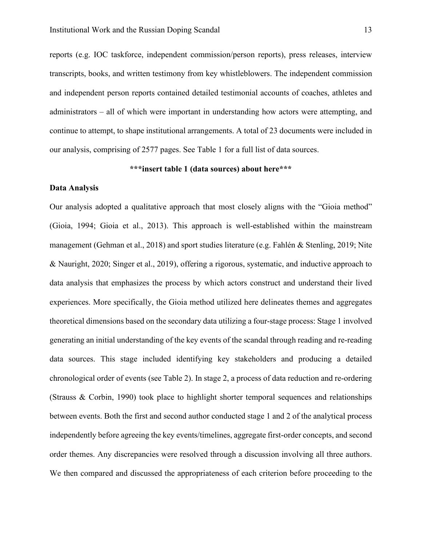reports (e.g. IOC taskforce, independent commission/person reports), press releases, interview transcripts, books, and written testimony from key whistleblowers. The independent commission and independent person reports contained detailed testimonial accounts of coaches, athletes and administrators – all of which were important in understanding how actors were attempting, and continue to attempt, to shape institutional arrangements. A total of 23 documents were included in our analysis, comprising of 2577 pages. See Table 1 for a full list of data sources.

#### **\*\*\*insert table 1 (data sources) about here\*\*\***

#### **Data Analysis**

Our analysis adopted a qualitative approach that most closely aligns with the "Gioia method" (Gioia, 1994; Gioia et al., 2013). This approach is well-established within the mainstream management (Gehman et al., 2018) and sport studies literature (e.g. Fahlén & Stenling, 2019; Nite & Nauright, 2020; Singer et al., 2019), offering a rigorous, systematic, and inductive approach to data analysis that emphasizes the process by which actors construct and understand their lived experiences. More specifically, the Gioia method utilized here delineates themes and aggregates theoretical dimensions based on the secondary data utilizing a four-stage process: Stage 1 involved generating an initial understanding of the key events of the scandal through reading and re-reading data sources. This stage included identifying key stakeholders and producing a detailed chronological order of events (see Table 2). In stage 2, a process of data reduction and re-ordering (Strauss & Corbin, 1990) took place to highlight shorter temporal sequences and relationships between events. Both the first and second author conducted stage 1 and 2 of the analytical process independently before agreeing the key events/timelines, aggregate first-order concepts, and second order themes. Any discrepancies were resolved through a discussion involving all three authors. We then compared and discussed the appropriateness of each criterion before proceeding to the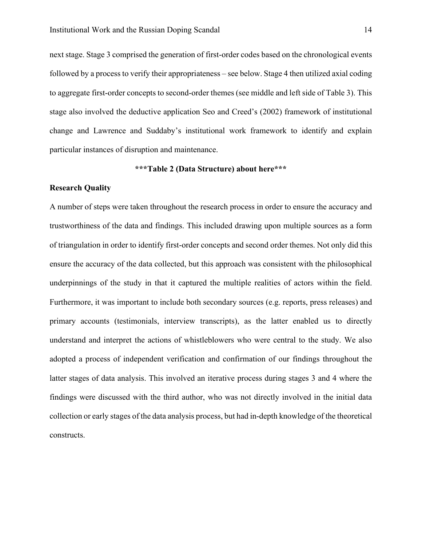next stage. Stage 3 comprised the generation of first-order codes based on the chronological events followed by a process to verify their appropriateness – see below. Stage 4 then utilized axial coding to aggregate first-order concepts to second-order themes (see middle and left side of Table 3). This stage also involved the deductive application Seo and Creed's (2002) framework of institutional change and Lawrence and Suddaby's institutional work framework to identify and explain particular instances of disruption and maintenance.

#### **\*\*\*Table 2 (Data Structure) about here\*\*\***

#### **Research Quality**

A number of steps were taken throughout the research process in order to ensure the accuracy and trustworthiness of the data and findings. This included drawing upon multiple sources as a form of triangulation in order to identify first-order concepts and second order themes. Not only did this ensure the accuracy of the data collected, but this approach was consistent with the philosophical underpinnings of the study in that it captured the multiple realities of actors within the field. Furthermore, it was important to include both secondary sources (e.g. reports, press releases) and primary accounts (testimonials, interview transcripts), as the latter enabled us to directly understand and interpret the actions of whistleblowers who were central to the study. We also adopted a process of independent verification and confirmation of our findings throughout the latter stages of data analysis. This involved an iterative process during stages 3 and 4 where the findings were discussed with the third author, who was not directly involved in the initial data collection or early stages of the data analysis process, but had in-depth knowledge of the theoretical constructs.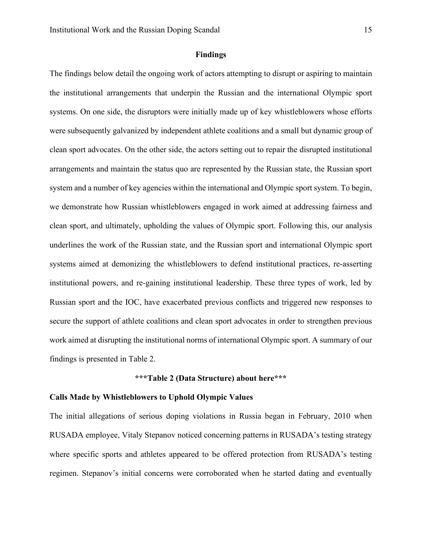#### **Findings**

The findings below detail the ongoing work of actors attempting to disrupt or aspiring to maintain the institutional arrangements that underpin the Russian and the international Olympic sport systems. On one side, the disruptors were initially made up of key whistleblowers whose efforts were subsequently galvanized by independent athlete coalitions and a small but dynamic group of clean sport advocates. On the other side, the actors setting out to repair the disrupted institutional arrangements and maintain the status quo are represented by the Russian state, the Russian sport system and a number of key agencies within the international and Olympic sport system. To begin, we demonstrate how Russian whistleblowers engaged in work aimed at addressing fairness and clean sport, and ultimately, upholding the values of Olympic sport. Following this, our analysis underlines the work of the Russian state, and the Russian sport and international Olympic sport systems aimed at demonizing the whistleblowers to defend institutional practices, re-asserting institutional powers, and re-gaining institutional leadership. These three types of work, led by Russian sport and the IOC, have exacerbated previous conflicts and triggered new responses to secure the support of athlete coalitions and clean sport advocates in order to strengthen previous work aimed at disrupting the institutional norms of international Olympic sport. A summary of our findings is presented in Table 2.

#### **\*\*\*Table 2 (Data Structure) about here\*\*\***

#### **Calls Made by Whistleblowers to Uphold Olympic Values**

The initial allegations of serious doping violations in Russia began in February, 2010 when RUSADA employee, Vitaly Stepanov noticed concerning patterns in RUSADA's testing strategy where specific sports and athletes appeared to be offered protection from RUSADA's testing regimen. Stepanov's initial concerns were corroborated when he started dating and eventually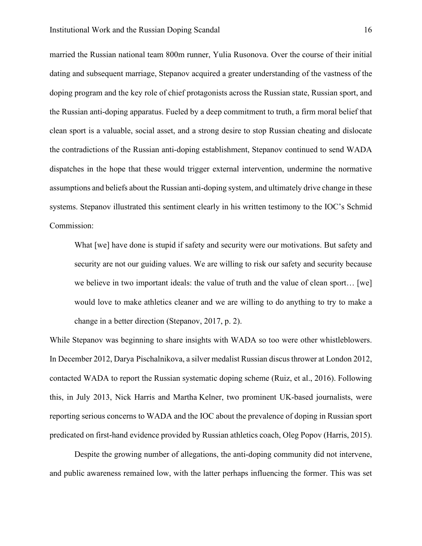married the Russian national team 800m runner, Yulia Rusonova. Over the course of their initial dating and subsequent marriage, Stepanov acquired a greater understanding of the vastness of the doping program and the key role of chief protagonists across the Russian state, Russian sport, and the Russian anti-doping apparatus. Fueled by a deep commitment to truth, a firm moral belief that clean sport is a valuable, social asset, and a strong desire to stop Russian cheating and dislocate the contradictions of the Russian anti-doping establishment, Stepanov continued to send WADA dispatches in the hope that these would trigger external intervention, undermine the normative assumptions and beliefs about the Russian anti-doping system, and ultimately drive change in these systems. Stepanov illustrated this sentiment clearly in his written testimony to the IOC's Schmid Commission:

What [we] have done is stupid if safety and security were our motivations. But safety and security are not our guiding values. We are willing to risk our safety and security because we believe in two important ideals: the value of truth and the value of clean sport… [we] would love to make athletics cleaner and we are willing to do anything to try to make a change in a better direction (Stepanov, 2017, p. 2).

While Stepanov was beginning to share insights with WADA so too were other whistleblowers. In December 2012, Darya Pischalnikova, a silver medalist Russian discus thrower at London 2012, contacted WADA to report the Russian systematic doping scheme (Ruiz, et al., 2016). Following this, in July 2013, Nick Harris and Martha Kelner, two prominent UK-based journalists, were reporting serious concerns to WADA and the IOC about the prevalence of doping in Russian sport predicated on first-hand evidence provided by Russian athletics coach, Oleg Popov (Harris, 2015).

Despite the growing number of allegations, the anti-doping community did not intervene, and public awareness remained low, with the latter perhaps influencing the former. This was set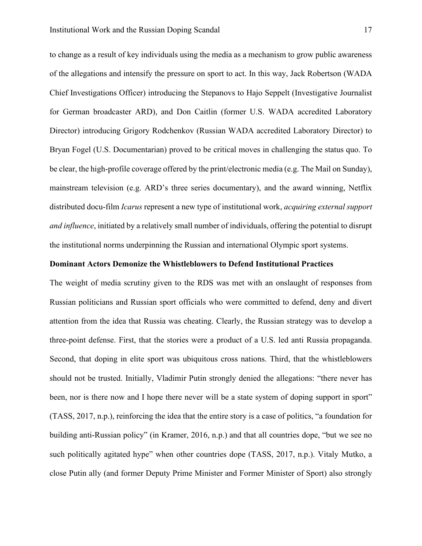to change as a result of key individuals using the media as a mechanism to grow public awareness of the allegations and intensify the pressure on sport to act. In this way, Jack Robertson (WADA Chief Investigations Officer) introducing the Stepanovs to Hajo Seppelt (Investigative Journalist for German broadcaster ARD), and Don Caitlin (former U.S. WADA accredited Laboratory Director) introducing Grigory Rodchenkov (Russian WADA accredited Laboratory Director) to Bryan Fogel (U.S. Documentarian) proved to be critical moves in challenging the status quo. To be clear, the high-profile coverage offered by the print/electronic media (e.g. The Mail on Sunday), mainstream television (e.g. ARD's three series documentary), and the award winning, Netflix distributed docu-film *Icarus* represent a new type of institutional work, *acquiring external support and influence*, initiated by a relatively small number of individuals, offering the potential to disrupt the institutional norms underpinning the Russian and international Olympic sport systems.

#### **Dominant Actors Demonize the Whistleblowers to Defend Institutional Practices**

The weight of media scrutiny given to the RDS was met with an onslaught of responses from Russian politicians and Russian sport officials who were committed to defend, deny and divert attention from the idea that Russia was cheating. Clearly, the Russian strategy was to develop a three-point defense. First, that the stories were a product of a U.S. led anti Russia propaganda. Second, that doping in elite sport was ubiquitous cross nations. Third, that the whistleblowers should not be trusted. Initially, Vladimir Putin strongly denied the allegations: "there never has been, nor is there now and I hope there never will be a state system of doping support in sport" (TASS, 2017, n.p.), reinforcing the idea that the entire story is a case of politics, "a foundation for building anti-Russian policy" (in Kramer, 2016, n.p.) and that all countries dope, "but we see no such politically agitated hype" when other countries dope (TASS, 2017, n.p.). Vitaly Mutko, a close Putin ally (and former Deputy Prime Minister and Former Minister of Sport) also strongly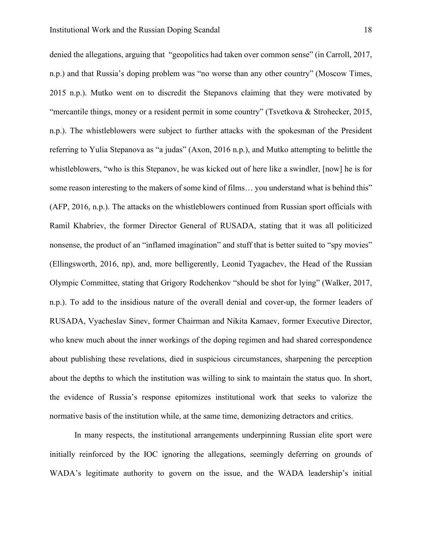denied the allegations, arguing that "geopolitics had taken over common sense" (in Carroll, 2017, n.p.) and that Russia's doping problem was "no worse than any other country" (Moscow Times, 2015 n.p.). Mutko went on to discredit the Stepanovs claiming that they were motivated by "mercantile things, money or a resident permit in some country" (Tsvetkova & Strohecker, 2015, n.p.). The whistleblowers were subject to further attacks with the spokesman of the President referring to Yulia Stepanova as "a judas" (Axon, 2016 n.p.), and Mutko attempting to belittle the whistleblowers, "who is this Stepanov, he was kicked out of here like a swindler, [now] he is for some reason interesting to the makers of some kind of films... you understand what is behind this" (AFP, 2016, n.p.). The attacks on the whistleblowers continued from Russian sport officials with Ramil Khabriev, the former Director General of RUSADA, stating that it was all politicized nonsense, the product of an "inflamed imagination" and stuff that is better suited to "spy movies" (Ellingsworth, 2016, np), and, more belligerently, Leonid Tyagachev, the Head of the Russian Olympic Committee, stating that Grigory Rodchenkov "should be shot for lying" (Walker, 2017, n.p.). To add to the insidious nature of the overall denial and cover-up, the former leaders of RUSADA, Vyacheslav Sinev, former Chairman and Nikita Kamaev, former Executive Director, who knew much about the inner workings of the doping regimen and had shared correspondence about publishing these revelations, died in suspicious circumstances, sharpening the perception about the depths to which the institution was willing to sink to maintain the status quo. In short, the evidence of Russia's response epitomizes institutional work that seeks to valorize the normative basis of the institution while, at the same time, demonizing detractors and critics.

In many respects, the institutional arrangements underpinning Russian elite sport were initially reinforced by the IOC ignoring the allegations, seemingly deferring on grounds of WADA's legitimate authority to govern on the issue, and the WADA leadership's initial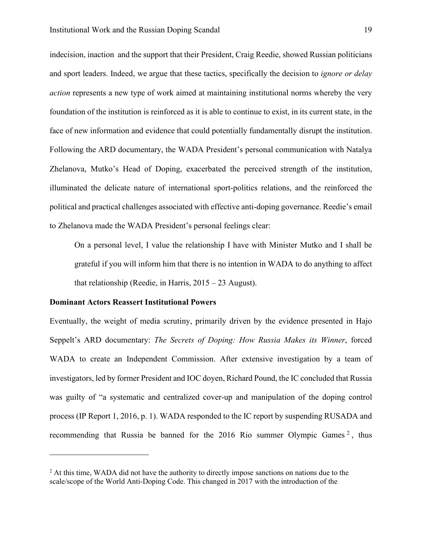indecision, inaction and the support that their President, Craig Reedie, showed Russian politicians and sport leaders. Indeed, we argue that these tactics, specifically the decision to *ignore or delay action* represents a new type of work aimed at maintaining institutional norms whereby the very foundation of the institution is reinforced as it is able to continue to exist, in its current state, in the face of new information and evidence that could potentially fundamentally disrupt the institution. Following the ARD documentary, the WADA President's personal communication with Natalya Zhelanova, Mutko's Head of Doping, exacerbated the perceived strength of the institution, illuminated the delicate nature of international sport-politics relations, and the reinforced the political and practical challenges associated with effective anti-doping governance. Reedie's email to Zhelanova made the WADA President's personal feelings clear:

On a personal level, I value the relationship I have with Minister Mutko and I shall be grateful if you will inform him that there is no intention in WADA to do anything to affect that relationship (Reedie, in Harris, 2015 – 23 August).

#### **Dominant Actors Reassert Institutional Powers**

Eventually, the weight of media scrutiny, primarily driven by the evidence presented in Hajo Seppelt's ARD documentary: *The Secrets of Doping: How Russia Makes its Winner*, forced WADA to create an Independent Commission. After extensive investigation by a team of investigators, led by former President and IOC doyen, Richard Pound, the IC concluded that Russia was guilty of "a systematic and centralized cover-up and manipulation of the doping control process (IP Report 1, 2016, p. 1). WADA responded to the IC report by suspending RUSADA and recommending that Russia be banned for the [2](#page-19-0)016 Rio summer Olympic Games  $2$ , thus

<span id="page-19-0"></span><sup>&</sup>lt;sup>2</sup> At this time, WADA did not have the authority to directly impose sanctions on nations due to the scale/scope of the World Anti-Doping Code. This changed in 2017 with the introduction of the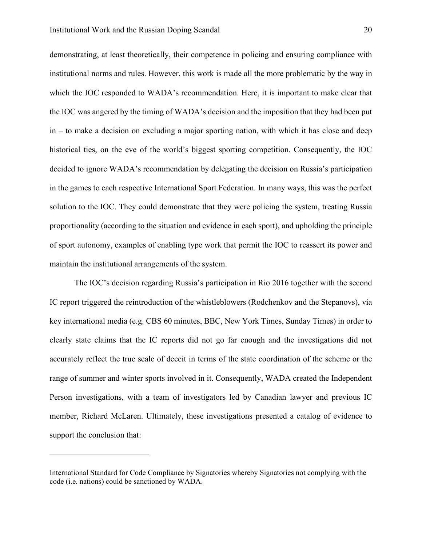demonstrating, at least theoretically, their competence in policing and ensuring compliance with institutional norms and rules. However, this work is made all the more problematic by the way in which the IOC responded to WADA's recommendation. Here, it is important to make clear that the IOC was angered by the timing of WADA's decision and the imposition that they had been put in – to make a decision on excluding a major sporting nation, with which it has close and deep historical ties, on the eve of the world's biggest sporting competition. Consequently, the IOC decided to ignore WADA's recommendation by delegating the decision on Russia's participation in the games to each respective International Sport Federation. In many ways, this was the perfect solution to the IOC. They could demonstrate that they were policing the system, treating Russia proportionality (according to the situation and evidence in each sport), and upholding the principle of sport autonomy, examples of enabling type work that permit the IOC to reassert its power and maintain the institutional arrangements of the system.

The IOC's decision regarding Russia's participation in Rio 2016 together with the second IC report triggered the reintroduction of the whistleblowers (Rodchenkov and the Stepanovs), via key international media (e.g. CBS 60 minutes, BBC, New York Times, Sunday Times) in order to clearly state claims that the IC reports did not go far enough and the investigations did not accurately reflect the true scale of deceit in terms of the state coordination of the scheme or the range of summer and winter sports involved in it. Consequently, WADA created the Independent Person investigations, with a team of investigators led by Canadian lawyer and previous IC member, Richard McLaren. Ultimately, these investigations presented a catalog of evidence to support the conclusion that:

International Standard for Code Compliance by Signatories whereby Signatories not complying with the code (i.e. nations) could be sanctioned by WADA.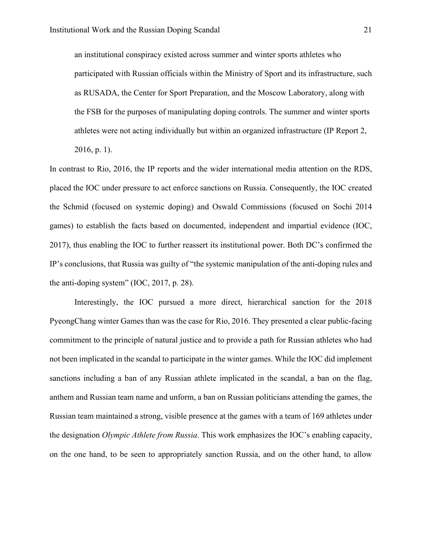an institutional conspiracy existed across summer and winter sports athletes who participated with Russian officials within the Ministry of Sport and its infrastructure, such as RUSADA, the Center for Sport Preparation, and the Moscow Laboratory, along with the FSB for the purposes of manipulating doping controls. The summer and winter sports athletes were not acting individually but within an organized infrastructure (IP Report 2, 2016, p. 1).

In contrast to Rio, 2016, the IP reports and the wider international media attention on the RDS, placed the IOC under pressure to act enforce sanctions on Russia. Consequently, the IOC created the Schmid (focused on systemic doping) and Oswald Commissions (focused on Sochi 2014 games) to establish the facts based on documented, independent and impartial evidence (IOC, 2017), thus enabling the IOC to further reassert its institutional power. Both DC's confirmed the IP's conclusions, that Russia was guilty of "the systemic manipulation of the anti-doping rules and the anti-doping system" (IOC, 2017, p. 28).

Interestingly, the IOC pursued a more direct, hierarchical sanction for the 2018 PyeongChang winter Games than was the case for Rio, 2016. They presented a clear public-facing commitment to the principle of natural justice and to provide a path for Russian athletes who had not been implicated in the scandal to participate in the winter games. While the IOC did implement sanctions including a ban of any Russian athlete implicated in the scandal, a ban on the flag, anthem and Russian team name and unform, a ban on Russian politicians attending the games, the Russian team maintained a strong, visible presence at the games with a team of 169 athletes under the designation *Olympic Athlete from Russia*. This work emphasizes the IOC's enabling capacity, on the one hand, to be seen to appropriately sanction Russia, and on the other hand, to allow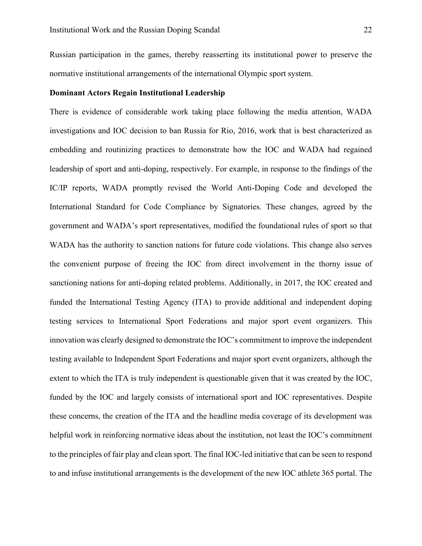Russian participation in the games, thereby reasserting its institutional power to preserve the normative institutional arrangements of the international Olympic sport system.

#### **Dominant Actors Regain Institutional Leadership**

There is evidence of considerable work taking place following the media attention, WADA investigations and IOC decision to ban Russia for Rio, 2016, work that is best characterized as embedding and routinizing practices to demonstrate how the IOC and WADA had regained leadership of sport and anti-doping, respectively. For example, in response to the findings of the IC/IP reports, WADA promptly revised the World Anti-Doping Code and developed the International Standard for Code Compliance by Signatories. These changes, agreed by the government and WADA's sport representatives, modified the foundational rules of sport so that WADA has the authority to sanction nations for future code violations. This change also serves the convenient purpose of freeing the IOC from direct involvement in the thorny issue of sanctioning nations for anti-doping related problems. Additionally, in 2017, the IOC created and funded the International Testing Agency (ITA) to provide additional and independent doping testing services to International Sport Federations and major sport event organizers. This innovation was clearly designed to demonstrate the IOC's commitment to improve the independent testing available to Independent Sport Federations and major sport event organizers, although the extent to which the ITA is truly independent is questionable given that it was created by the IOC, funded by the IOC and largely consists of international sport and IOC representatives. Despite these concerns, the creation of the ITA and the headline media coverage of its development was helpful work in reinforcing normative ideas about the institution, not least the IOC's commitment to the principles of fair play and clean sport. The final IOC-led initiative that can be seen to respond to and infuse institutional arrangements is the development of the new IOC athlete 365 portal. The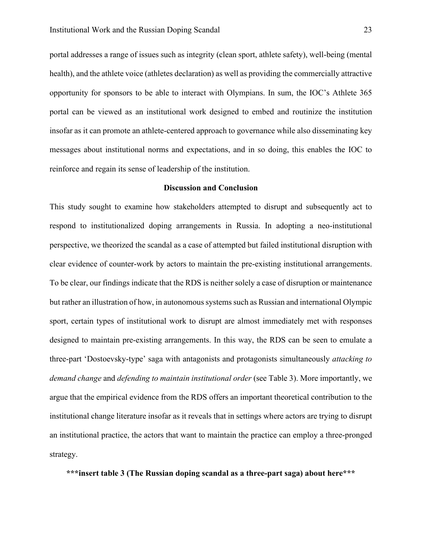portal addresses a range of issues such as integrity (clean sport, athlete safety), well-being (mental health), and the athlete voice (athletes declaration) as well as providing the commercially attractive opportunity for sponsors to be able to interact with Olympians. In sum, the IOC's Athlete 365 portal can be viewed as an institutional work designed to embed and routinize the institution insofar as it can promote an athlete-centered approach to governance while also disseminating key messages about institutional norms and expectations, and in so doing, this enables the IOC to reinforce and regain its sense of leadership of the institution.

#### **Discussion and Conclusion**

This study sought to examine how stakeholders attempted to disrupt and subsequently act to respond to institutionalized doping arrangements in Russia. In adopting a neo-institutional perspective, we theorized the scandal as a case of attempted but failed institutional disruption with clear evidence of counter-work by actors to maintain the pre-existing institutional arrangements. To be clear, our findings indicate that the RDS is neither solely a case of disruption or maintenance but rather an illustration of how, in autonomous systems such as Russian and international Olympic sport, certain types of institutional work to disrupt are almost immediately met with responses designed to maintain pre-existing arrangements. In this way, the RDS can be seen to emulate a three-part 'Dostoevsky-type' saga with antagonists and protagonists simultaneously *attacking to demand change* and *defending to maintain institutional order* (see Table 3). More importantly, we argue that the empirical evidence from the RDS offers an important theoretical contribution to the institutional change literature insofar as it reveals that in settings where actors are trying to disrupt an institutional practice, the actors that want to maintain the practice can employ a three-pronged strategy.

**\*\*\*insert table 3 (The Russian doping scandal as a three-part saga) about here\*\*\***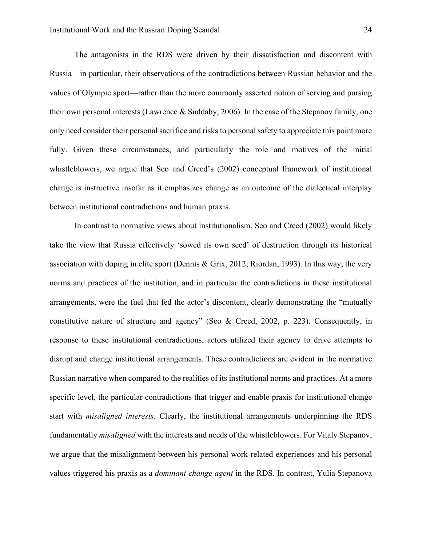The antagonists in the RDS were driven by their dissatisfaction and discontent with Russia—in particular, their observations of the contradictions between Russian behavior and the values of Olympic sport—rather than the more commonly asserted notion of serving and pursing their own personal interests (Lawrence & Suddaby, 2006). In the case of the Stepanov family, one only need consider their personal sacrifice and risks to personal safety to appreciate this point more fully. Given these circumstances, and particularly the role and motives of the initial whistleblowers, we argue that Seo and Creed's (2002) conceptual framework of institutional change is instructive insofar as it emphasizes change as an outcome of the dialectical interplay between institutional contradictions and human praxis.

In contrast to normative views about institutionalism, Seo and Creed (2002) would likely take the view that Russia effectively 'sowed its own seed' of destruction through its historical association with doping in elite sport (Dennis & Grix, 2012; Riordan, 1993). In this way, the very norms and practices of the institution, and in particular the contradictions in these institutional arrangements, were the fuel that fed the actor's discontent, clearly demonstrating the "mutually constitutive nature of structure and agency" (Seo & Creed, 2002, p. 223). Consequently, in response to these institutional contradictions, actors utilized their agency to drive attempts to disrupt and change institutional arrangements. These contradictions are evident in the normative Russian narrative when compared to the realities of its institutional norms and practices. At a more specific level, the particular contradictions that trigger and enable praxis for institutional change start with *misaligned interests*. Clearly, the institutional arrangements underpinning the RDS fundamentally *misaligned* with the interests and needs of the whistleblowers. For Vitaly Stepanov, we argue that the misalignment between his personal work-related experiences and his personal values triggered his praxis as a *dominant change agent* in the RDS. In contrast, Yulia Stepanova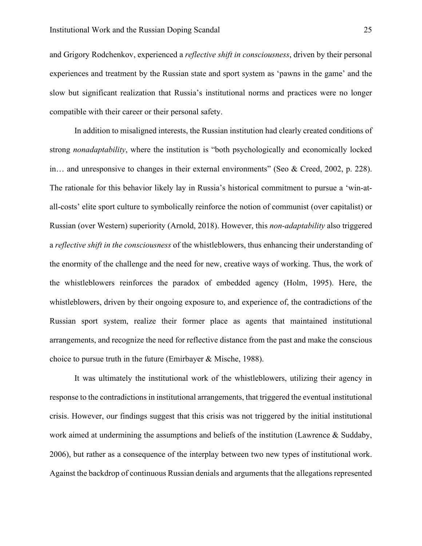and Grigory Rodchenkov, experienced a *reflective shift in consciousness*, driven by their personal experiences and treatment by the Russian state and sport system as 'pawns in the game' and the slow but significant realization that Russia's institutional norms and practices were no longer compatible with their career or their personal safety.

In addition to misaligned interests, the Russian institution had clearly created conditions of strong *nonadaptability*, where the institution is "both psychologically and economically locked in… and unresponsive to changes in their external environments" (Seo & Creed, 2002, p. 228). The rationale for this behavior likely lay in Russia's historical commitment to pursue a 'win-atall-costs' elite sport culture to symbolically reinforce the notion of communist (over capitalist) or Russian (over Western) superiority (Arnold, 2018). However, this *non-adaptability* also triggered a *reflective shift in the consciousness* of the whistleblowers, thus enhancing their understanding of the enormity of the challenge and the need for new, creative ways of working. Thus, the work of the whistleblowers reinforces the paradox of embedded agency (Holm, 1995). Here, the whistleblowers, driven by their ongoing exposure to, and experience of, the contradictions of the Russian sport system, realize their former place as agents that maintained institutional arrangements, and recognize the need for reflective distance from the past and make the conscious choice to pursue truth in the future (Emirbayer & Mische, 1988).

It was ultimately the institutional work of the whistleblowers, utilizing their agency in response to the contradictions in institutional arrangements, that triggered the eventual institutional crisis. However, our findings suggest that this crisis was not triggered by the initial institutional work aimed at undermining the assumptions and beliefs of the institution (Lawrence & Suddaby, 2006), but rather as a consequence of the interplay between two new types of institutional work. Against the backdrop of continuous Russian denials and arguments that the allegations represented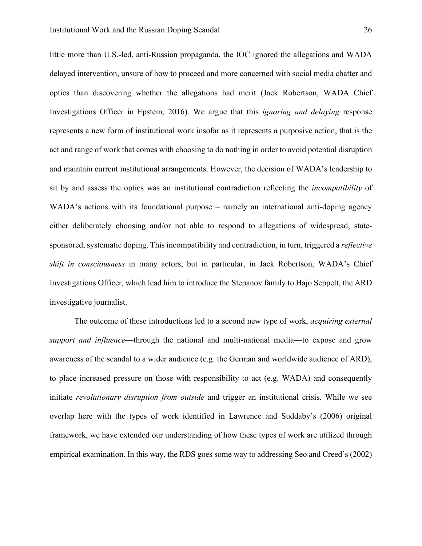little more than U.S.-led, anti-Russian propaganda, the IOC ignored the allegations and WADA delayed intervention, unsure of how to proceed and more concerned with social media chatter and optics than discovering whether the allegations had merit (Jack Robertson, WADA Chief Investigations Officer in Epstein, 2016). We argue that this *ignoring and delaying* response represents a new form of institutional work insofar as it represents a purposive action, that is the act and range of work that comes with choosing to do nothing in order to avoid potential disruption and maintain current institutional arrangements. However, the decision of WADA's leadership to sit by and assess the optics was an institutional contradiction reflecting the *incompatibility* of WADA's actions with its foundational purpose – namely an international anti-doping agency either deliberately choosing and/or not able to respond to allegations of widespread, statesponsored, systematic doping. This incompatibility and contradiction, in turn, triggered a *reflective shift in consciousness* in many actors, but in particular, in Jack Robertson, WADA's Chief Investigations Officer, which lead him to introduce the Stepanov family to Hajo Seppelt, the ARD investigative journalist.

The outcome of these introductions led to a second new type of work, *acquiring external support and influence*—through the national and multi-national media—to expose and grow awareness of the scandal to a wider audience (e.g. the German and worldwide audience of ARD), to place increased pressure on those with responsibility to act (e.g. WADA) and consequently initiate *revolutionary disruption from outside* and trigger an institutional crisis. While we see overlap here with the types of work identified in Lawrence and Suddaby's (2006) original framework, we have extended our understanding of how these types of work are utilized through empirical examination. In this way, the RDS goes some way to addressing Seo and Creed's (2002)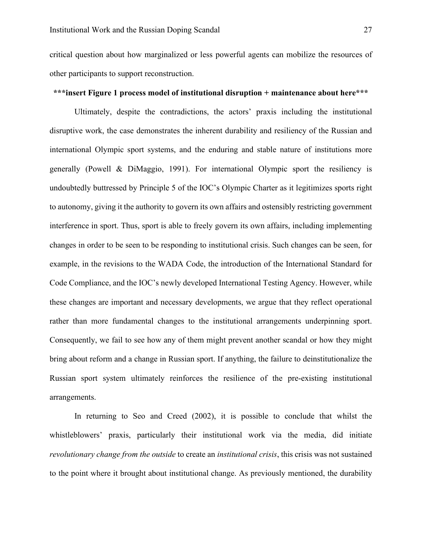critical question about how marginalized or less powerful agents can mobilize the resources of other participants to support reconstruction.

#### **\*\*\*insert Figure 1 process model of institutional disruption + maintenance about here\*\*\***

Ultimately, despite the contradictions, the actors' praxis including the institutional disruptive work, the case demonstrates the inherent durability and resiliency of the Russian and international Olympic sport systems, and the enduring and stable nature of institutions more generally (Powell & DiMaggio, 1991). For international Olympic sport the resiliency is undoubtedly buttressed by Principle 5 of the IOC's Olympic Charter as it legitimizes sports right to autonomy, giving it the authority to govern its own affairs and ostensibly restricting government interference in sport. Thus, sport is able to freely govern its own affairs, including implementing changes in order to be seen to be responding to institutional crisis. Such changes can be seen, for example, in the revisions to the WADA Code, the introduction of the International Standard for Code Compliance, and the IOC's newly developed International Testing Agency. However, while these changes are important and necessary developments, we argue that they reflect operational rather than more fundamental changes to the institutional arrangements underpinning sport. Consequently, we fail to see how any of them might prevent another scandal or how they might bring about reform and a change in Russian sport. If anything, the failure to deinstitutionalize the Russian sport system ultimately reinforces the resilience of the pre-existing institutional arrangements.

In returning to Seo and Creed (2002), it is possible to conclude that whilst the whistleblowers' praxis, particularly their institutional work via the media, did initiate *revolutionary change from the outside* to create an *institutional crisis*, this crisis was not sustained to the point where it brought about institutional change. As previously mentioned, the durability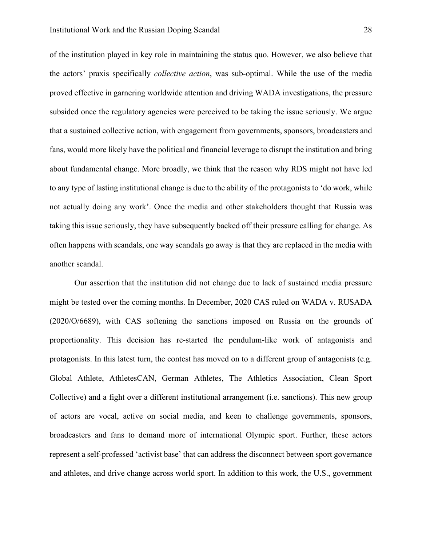of the institution played in key role in maintaining the status quo. However, we also believe that the actors' praxis specifically *collective action*, was sub-optimal. While the use of the media proved effective in garnering worldwide attention and driving WADA investigations, the pressure subsided once the regulatory agencies were perceived to be taking the issue seriously. We argue that a sustained collective action, with engagement from governments, sponsors, broadcasters and fans, would more likely have the political and financial leverage to disrupt the institution and bring about fundamental change. More broadly, we think that the reason why RDS might not have led to any type of lasting institutional change is due to the ability of the protagonists to 'do work, while not actually doing any work'. Once the media and other stakeholders thought that Russia was taking this issue seriously, they have subsequently backed off their pressure calling for change. As often happens with scandals, one way scandals go away is that they are replaced in the media with another scandal.

Our assertion that the institution did not change due to lack of sustained media pressure might be tested over the coming months. In December, 2020 CAS ruled on WADA v. RUSADA (2020/O/6689), with CAS softening the sanctions imposed on Russia on the grounds of proportionality. This decision has re-started the pendulum-like work of antagonists and protagonists. In this latest turn, the contest has moved on to a different group of antagonists (e.g. Global Athlete, AthletesCAN, German Athletes, The Athletics Association, Clean Sport Collective) and a fight over a different institutional arrangement (i.e. sanctions). This new group of actors are vocal, active on social media, and keen to challenge governments, sponsors, broadcasters and fans to demand more of international Olympic sport. Further, these actors represent a self-professed 'activist base' that can address the disconnect between sport governance and athletes, and drive change across world sport. In addition to this work, the U.S., government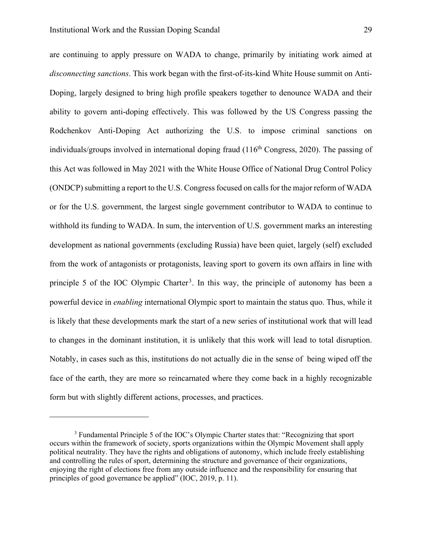are continuing to apply pressure on WADA to change, primarily by initiating work aimed at *disconnecting sanctions*. This work began with the first-of-its-kind White House summit on Anti-Doping, largely designed to bring high profile speakers together to denounce WADA and their ability to govern anti-doping effectively. This was followed by the US Congress passing the Rodchenkov Anti-Doping Act authorizing the U.S. to impose criminal sanctions on individuals/groups involved in international doping fraud  $(116<sup>th</sup> Congress, 2020)$ . The passing of this Act was followed in May 2021 with the White House Office of National Drug Control Policy (ONDCP) submitting a report to the U.S. Congress focused on calls for the major reform of WADA or for the U.S. government, the largest single government contributor to WADA to continue to withhold its funding to WADA. In sum, the intervention of U.S. government marks an interesting development as national governments (excluding Russia) have been quiet, largely (self) excluded from the work of antagonists or protagonists, leaving sport to govern its own affairs in line with principle 5 of the IOC Olympic Charter<sup>[3](#page-29-0)</sup>. In this way, the principle of autonomy has been a powerful device in *enabling* international Olympic sport to maintain the status quo. Thus, while it is likely that these developments mark the start of a new series of institutional work that will lead to changes in the dominant institution, it is unlikely that this work will lead to total disruption. Notably, in cases such as this, institutions do not actually die in the sense of being wiped off the face of the earth, they are more so reincarnated where they come back in a highly recognizable form but with slightly different actions, processes, and practices.

<span id="page-29-0"></span><sup>&</sup>lt;sup>3</sup> Fundamental Principle 5 of the IOC's Olympic Charter states that: "Recognizing that sport occurs within the framework of society, sports organizations within the Olympic Movement shall apply political neutrality. They have the rights and obligations of autonomy, which include freely establishing and controlling the rules of sport, determining the structure and governance of their organizations, enjoying the right of elections free from any outside influence and the responsibility for ensuring that principles of good governance be applied" (IOC, 2019, p. 11).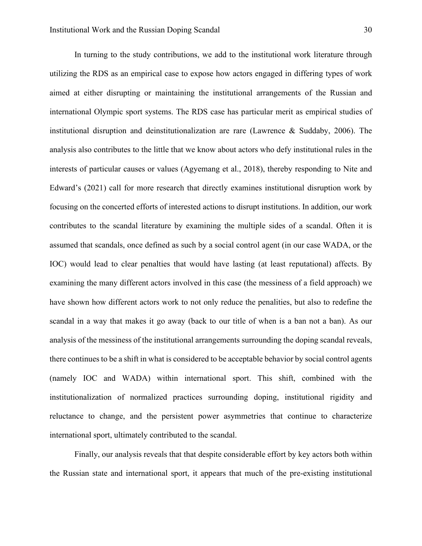In turning to the study contributions, we add to the institutional work literature through utilizing the RDS as an empirical case to expose how actors engaged in differing types of work aimed at either disrupting or maintaining the institutional arrangements of the Russian and international Olympic sport systems. The RDS case has particular merit as empirical studies of institutional disruption and deinstitutionalization are rare (Lawrence & Suddaby, 2006). The analysis also contributes to the little that we know about actors who defy institutional rules in the interests of particular causes or values (Agyemang et al., 2018), thereby responding to Nite and Edward's (2021) call for more research that directly examines institutional disruption work by focusing on the concerted efforts of interested actions to disrupt institutions. In addition, our work contributes to the scandal literature by examining the multiple sides of a scandal. Often it is assumed that scandals, once defined as such by a social control agent (in our case WADA, or the IOC) would lead to clear penalties that would have lasting (at least reputational) affects. By examining the many different actors involved in this case (the messiness of a field approach) we have shown how different actors work to not only reduce the penalities, but also to redefine the scandal in a way that makes it go away (back to our title of when is a ban not a ban). As our analysis of the messiness of the institutional arrangements surrounding the doping scandal reveals, there continues to be a shift in what is considered to be acceptable behavior by social control agents (namely IOC and WADA) within international sport. This shift, combined with the institutionalization of normalized practices surrounding doping, institutional rigidity and reluctance to change, and the persistent power asymmetries that continue to characterize international sport, ultimately contributed to the scandal.

Finally, our analysis reveals that that despite considerable effort by key actors both within the Russian state and international sport, it appears that much of the pre-existing institutional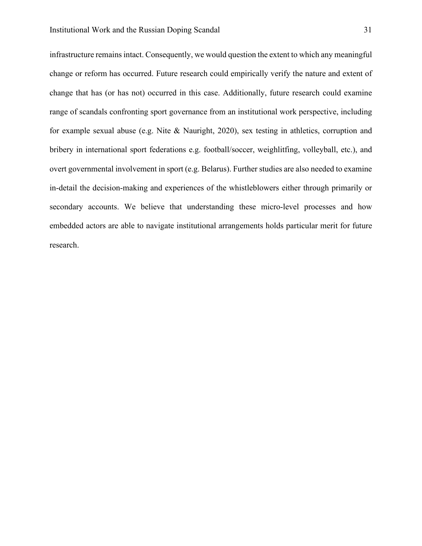infrastructure remains intact. Consequently, we would question the extent to which any meaningful change or reform has occurred. Future research could empirically verify the nature and extent of change that has (or has not) occurred in this case. Additionally, future research could examine range of scandals confronting sport governance from an institutional work perspective, including for example sexual abuse (e.g. Nite & Nauright, 2020), sex testing in athletics, corruption and bribery in international sport federations e.g. football/soccer, weighlitfing, volleyball, etc.), and overt governmental involvement in sport (e.g. Belarus). Further studies are also needed to examine in-detail the decision-making and experiences of the whistleblowers either through primarily or secondary accounts. We believe that understanding these micro-level processes and how embedded actors are able to navigate institutional arrangements holds particular merit for future research.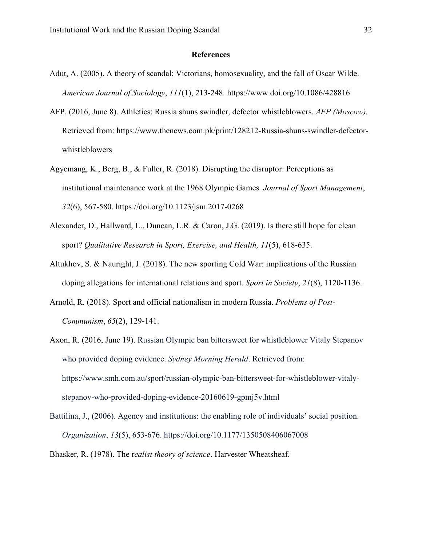#### **References**

- Adut, A. (2005). A theory of scandal: Victorians, homosexuality, and the fall of Oscar Wilde. *American Journal of Sociology*, *111*(1), 213-248. https://www.doi.org/10.1086/428816
- AFP. (2016, June 8). Athletics: Russia shuns swindler, defector whistleblowers. *AFP (Moscow).* Retrieved from: https://www.thenews.com.pk/print/128212-Russia-shuns-swindler-defectorwhistleblowers
- Agyemang, K., Berg, B., & Fuller, R. (2018). Disrupting the disruptor: Perceptions as institutional maintenance work at the 1968 Olympic Games*. Journal of Sport Management*, *32*(6), 567-580. https://doi.org/10.1123/jsm.2017-0268
- Alexander, D., Hallward, L., Duncan, L.R. & Caron, J.G. (2019). Is there still hope for clean sport? *Qualitative Research in Sport, Exercise, and Health, 11*(5), 618-635.
- Altukhov, S. & Nauright, J. (2018). The new sporting Cold War: implications of the Russian doping allegations for international relations and sport. *Sport in Society*, *21*(8), 1120-1136.
- Arnold, R. (2018). Sport and official nationalism in modern Russia. *Problems of Post-Communism*, *65*(2), 129-141.
- Axon, R. (2016, June 19). Russian Olympic ban bittersweet for whistleblower Vitaly Stepanov who provided doping evidence. *Sydney Morning Herald*. Retrieved from: https://www.smh.com.au/sport/russian-olympic-ban-bittersweet-for-whistleblower-vitalystepanov-who-provided-doping-evidence-20160619-gpmj5v.html
- Battilina, J., (2006). Agency and institutions: the enabling role of individuals' social position. *Organization*, *13*(5), 653-676. https://doi.org/10.1177/1350508406067008
- Bhasker, R. (1978). The r*ealist theory of science*. Harvester Wheatsheaf.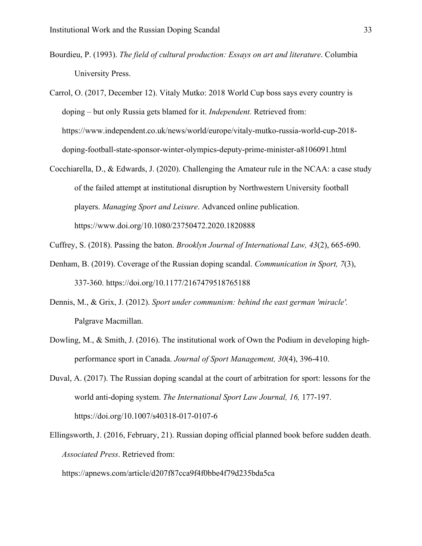- Bourdieu, P. (1993). *The field of cultural production: Essays on art and literature*. Columbia University Press.
- Carrol, O. (2017, December 12). Vitaly Mutko: 2018 World Cup boss says every country is doping – but only Russia gets blamed for it. *Independent.* Retrieved from: https://www.independent.co.uk/news/world/europe/vitaly-mutko-russia-world-cup-2018 doping-football-state-sponsor-winter-olympics-deputy-prime-minister-a8106091.html
- Cocchiarella, D., & Edwards, J. (2020). Challenging the Amateur rule in the NCAA: a case study of the failed attempt at institutional disruption by Northwestern University football players. *Managing Sport and Leisure*. Advanced online publication. https://www.doi.org/10.1080/23750472.2020.1820888
- Cuffrey, S. (2018). Passing the baton. *Brooklyn Journal of International Law, 43*(2), 665-690.
- Denham, B. (2019). Coverage of the Russian doping scandal. *Communication in Sport, 7*(3), 337-360. https://doi.org/10.1177/2167479518765188
- Dennis, M., & Grix, J. (2012). *Sport under communism: behind the east german 'miracle'.*  Palgrave Macmillan.
- Dowling, M., & Smith, J. (2016). The institutional work of Own the Podium in developing highperformance sport in Canada. *Journal of Sport Management, 30*(4), 396-410.
- Duval, A. (2017). The Russian doping scandal at the court of arbitration for sport: lessons for the world anti-doping system. *The International Sport Law Journal, 16,* 177-197. https://doi.org/10.1007/s40318-017-0107-6
- Ellingsworth, J. (2016, February, 21). Russian doping official planned book before sudden death. *Associated Press*. Retrieved from:

https://apnews.com/article/d207f87cca9f4f0bbe4f79d235bda5ca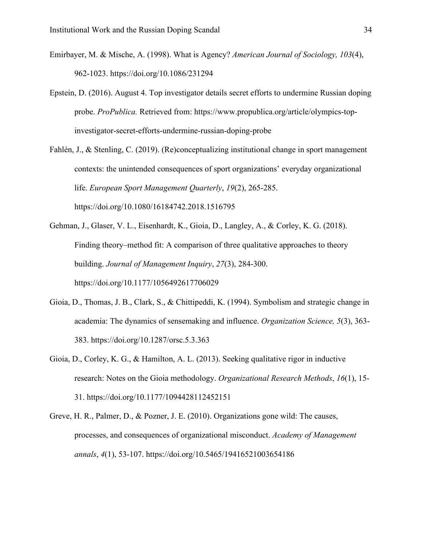- Emirbayer, M. & Mische, A. (1998). What is Agency? *American Journal of Sociology, 103*(4), 962-1023. https://doi.org/10.1086/231294
- Epstein, D. (2016). August 4. Top investigator details secret efforts to undermine Russian doping probe. *ProPublica.* Retrieved from: https://www.propublica.org/article/olympics-topinvestigator-secret-efforts-undermine-russian-doping-probe
- Fahlén, J., & Stenling, C. (2019). (Re)conceptualizing institutional change in sport management contexts: the unintended consequences of sport organizations' everyday organizational life. *European Sport Management Quarterly*, *19*(2), 265-285. https://doi.org/10.1080/16184742.2018.1516795
- Gehman, J., Glaser, V. L., Eisenhardt, K., Gioia, D., Langley, A., & Corley, K. G. (2018). Finding theory–method fit: A comparison of three qualitative approaches to theory building. *Journal of Management Inquiry*, *27*(3), 284-300. https://doi.org/10.1177/1056492617706029
- Gioia, D., Thomas, J. B., Clark, S., & Chittipeddi, K. (1994). Symbolism and strategic change in academia: The dynamics of sensemaking and influence. *Organization Science, 5*(3), 363- 383. https://doi.org/10.1287/orsc.5.3.363
- Gioia, D., Corley, K. G., & Hamilton, A. L. (2013). Seeking qualitative rigor in inductive research: Notes on the Gioia methodology. *Organizational Research Methods*, *16*(1), 15- 31. https://doi.org/10.1177/1094428112452151
- Greve, H. R., Palmer, D., & Pozner, J. E. (2010). Organizations gone wild: The causes, processes, and consequences of organizational misconduct. *Academy of Management annals*, *4*(1), 53-107. https://doi.org/10.5465/19416521003654186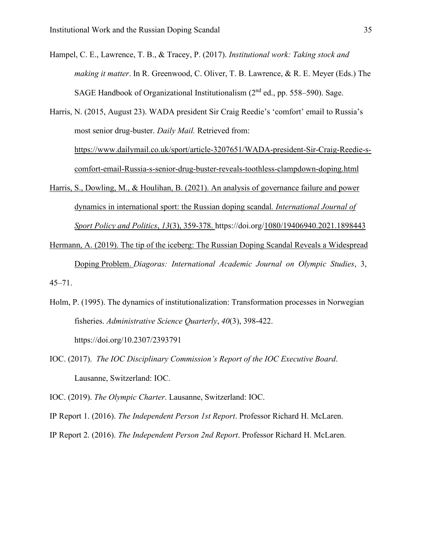Hampel, C. E., Lawrence, T. B., & Tracey, P. (2017). *Institutional work: Taking stock and making it matter*. In R. Greenwood, C. Oliver, T. B. Lawrence, & R. E. Meyer (Eds.) The SAGE Handbook of Organizational Institutionalism  $(2<sup>nd</sup>$  ed., pp. 558–590). Sage.

Harris, N. (2015, August 23). WADA president Sir Craig Reedie's 'comfort' email to Russia's most senior drug-buster. *Daily Mail.* Retrieved from: [https://www.dailymail.co.uk/sport/article-3207651/WADA-president-Sir-Craig-Reedie-s](https://www.dailymail.co.uk/sport/article-3207651/WADA-president-Sir-Craig-Reedie-s-comfort-email-Russia-s-senior-drug-buster-reveals-toothless-clampdown-doping.html)[comfort-email-Russia-s-senior-drug-buster-reveals-toothless-clampdown-doping.html](https://www.dailymail.co.uk/sport/article-3207651/WADA-president-Sir-Craig-Reedie-s-comfort-email-Russia-s-senior-drug-buster-reveals-toothless-clampdown-doping.html)

- Harris, S., Dowling, M., & Houlihan, B. (2021). An analysis of governance failure and power dynamics in international sport: the Russian doping scandal*. International Journal of Sport Policy and Politics*, *13*(3), 359-378. https://doi.org/1080/19406940.2021.1898443
- Hermann, A. (2019). The tip of the iceberg: The Russian Doping Scandal Reveals a Widespread Doping Problem. *Diagoras: International Academic Journal on Olympic Studies*, 3, 45–71.
- Holm, P. (1995). The dynamics of institutionalization: Transformation processes in Norwegian fisheries. *Administrative Science Quarterly*, *40*(3), 398-422. https://doi.org/10.2307/2393791
- IOC. (2017). *The IOC Disciplinary Commission's Report of the IOC Executive Board*. Lausanne, Switzerland: IOC.
- IOC. (2019). *The Olympic Charter*. Lausanne, Switzerland: IOC.

IP Report 1. (2016). *The Independent Person 1st Report*. Professor Richard H. McLaren.

IP Report 2. (2016). *The Independent Person 2nd Report*. Professor Richard H. McLaren.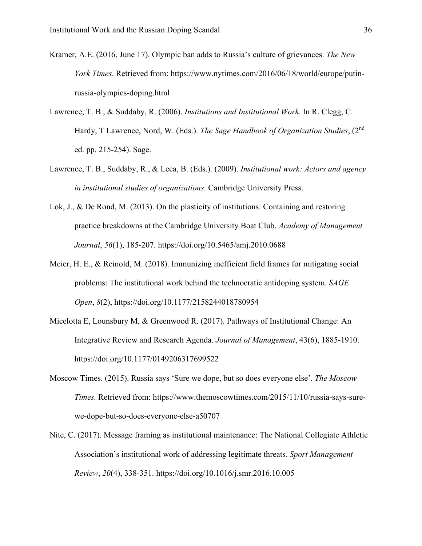- Kramer, A.E. (2016, June 17). Olympic ban adds to Russia's culture of grievances. *The New York Times*. Retrieved from: [https://www.nytimes.com/2016/06/18/world/europe/putin](https://www.nytimes.com/2016/06/18/world/europe/putin-russia-olympics-doping.html)[russia-olympics-doping.html](https://www.nytimes.com/2016/06/18/world/europe/putin-russia-olympics-doping.html)
- Lawrence, T. B., & Suddaby, R. (2006). *Institutions and Institutional Work*. In R. Clegg, C. Hardy, T Lawrence, Nord, W. (Eds.). *The Sage Handbook of Organization Studies*, (2nd ed. pp. 215-254). Sage.
- Lawrence, T. B., Suddaby, R., & Leca, B. (Eds.). (2009). *Institutional work: Actors and agency in institutional studies of organizations.* Cambridge University Press.
- Lok, J., & De Rond, M. (2013). On the plasticity of institutions: Containing and restoring practice breakdowns at the Cambridge University Boat Club. *Academy of Management Journal*, *56*(1), 185-207. https://doi.org/10.5465/amj.2010.0688
- Meier, H. E., & Reinold, M. (2018). Immunizing inefficient field frames for mitigating social problems: The institutional work behind the technocratic antidoping system. *SAGE Open*, *8*(2), https://doi.org/10.1177/2158244018780954
- Micelotta E, Lounsbury M, & Greenwood R. (2017). Pathways of Institutional Change: An Integrative Review and Research Agenda. *Journal of Management*, 43(6), 1885-1910. https://doi.org/10.1177/0149206317699522
- Moscow Times. (2015). Russia says 'Sure we dope, but so does everyone else'. *The Moscow Times.* Retrieved from: [https://www.themoscowtimes.com/2015/11/10/russia-says-sure](https://www.themoscowtimes.com/2015/11/10/russia-says-sure-we-dope-but-so-does-everyone-else-a50707)[we-dope-but-so-does-everyone-else-a50707](https://www.themoscowtimes.com/2015/11/10/russia-says-sure-we-dope-but-so-does-everyone-else-a50707)
- Nite, C. (2017). Message framing as institutional maintenance: The National Collegiate Athletic Association's institutional work of addressing legitimate threats*. Sport Management Review*, *20*(4), 338-351. https://doi.org/10.1016/j.smr.2016.10.005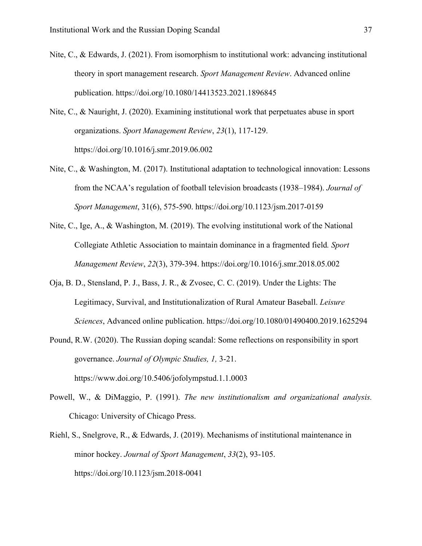- Nite, C., & Edwards, J. (2021). From isomorphism to institutional work: advancing institutional theory in sport management research. *Sport Management Review*. Advanced online publication. https://doi.org/10.1080/14413523.2021.1896845
- Nite, C., & Nauright, J. (2020). Examining institutional work that perpetuates abuse in sport organizations. *Sport Management Review*, *23*(1), 117-129. https://doi.org/10.1016/j.smr.2019.06.002
- Nite, C., & Washington, M. (2017). Institutional adaptation to technological innovation: Lessons from the NCAA's regulation of football television broadcasts (1938–1984). *Journal of Sport Management*, 31(6), 575-590. https://doi.org/10.1123/jsm.2017-0159
- Nite, C., Ige, A., & Washington, M. (2019). The evolving institutional work of the National Collegiate Athletic Association to maintain dominance in a fragmented field*. Sport Management Review*, *22*(3), 379-394. https://doi.org/10.1016/j.smr.2018.05.002
- Oja, B. D., Stensland, P. J., Bass, J. R., & Zvosec, C. C. (2019). Under the Lights: The Legitimacy, Survival, and Institutionalization of Rural Amateur Baseball. *Leisure Sciences*, Advanced online publication. https://doi.org/10.1080/01490400.2019.1625294
- Pound, R.W. (2020). The Russian doping scandal: Some reflections on responsibility in sport governance. *Journal of Olympic Studies, 1,* 3-21. https://www.doi.org/10.5406/jofolympstud.1.1.0003
- Powell, W., & DiMaggio, P. (1991). *The new institutionalism and organizational analysis.* Chicago: University of Chicago Press.
- Riehl, S., Snelgrove, R., & Edwards, J. (2019). Mechanisms of institutional maintenance in minor hockey. *Journal of Sport Management*, *33*(2), 93-105. https://doi.org/10.1123/jsm.2018-0041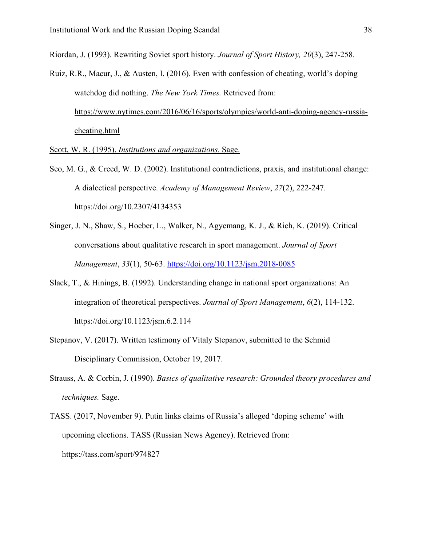Riordan, J. (1993). Rewriting Soviet sport history. *Journal of Sport History, 20*(3), 247-258.

Ruiz, R.R., Macur, J., & Austen, I. (2016). Even with confession of cheating, world's doping watchdog did nothing. *The New York Times.* Retrieved from: [https://www.nytimes.com/2016/06/16/sports/olympics/world-anti-doping-agency-russia](https://www.nytimes.com/2016/06/16/sports/olympics/world-anti-doping-agency-russia-cheating.html)[cheating.html](https://www.nytimes.com/2016/06/16/sports/olympics/world-anti-doping-agency-russia-cheating.html)

Scott, W. R. (1995). *Institutions and organizations.* Sage.

- Seo, M. G., & Creed, W. D. (2002). Institutional contradictions, praxis, and institutional change: A dialectical perspective. *Academy of Management Review*, *27*(2), 222-247. https://doi.org/10.2307/4134353
- Singer, J. N., Shaw, S., Hoeber, L., Walker, N., Agyemang, K. J., & Rich, K. (2019). Critical conversations about qualitative research in sport management. *Journal of Sport Management*, *33*(1), 50-63. <https://doi.org/10.1123/jsm.2018-0085>
- Slack, T., & Hinings, B. (1992). Understanding change in national sport organizations: An integration of theoretical perspectives. *Journal of Sport Management*, *6*(2), 114-132. https://doi.org/10.1123/jsm.6.2.114
- Stepanov, V. (2017). Written testimony of Vitaly Stepanov, submitted to the Schmid Disciplinary Commission, October 19, 2017.
- Strauss, A. & Corbin, J. (1990). *Basics of qualitative research: Grounded theory procedures and techniques.* Sage.
- TASS. (2017, November 9). Putin links claims of Russia's alleged 'doping scheme' with upcoming elections. TASS (Russian News Agency). Retrieved from: https://tass.com/sport/974827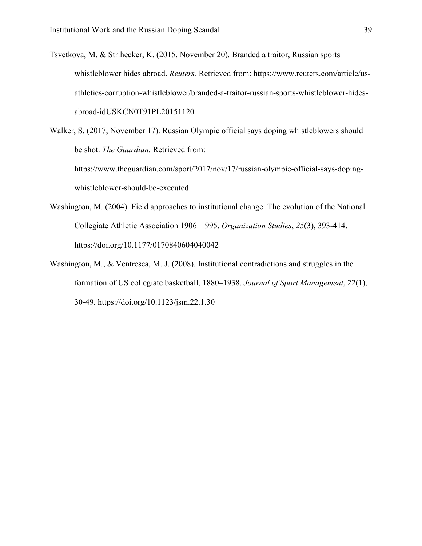Tsvetkova, M. & Strihecker, K. (2015, November 20). Branded a traitor, Russian sports whistleblower hides abroad. *Reuters.* Retrieved from: https://www.reuters.com/article/usathletics-corruption-whistleblower/branded-a-traitor-russian-sports-whistleblower-hidesabroad-idUSKCN0T91PL20151120

Walker, S. (2017, November 17). Russian Olympic official says doping whistleblowers should be shot. *The Guardian.* Retrieved from: https://www.theguardian.com/sport/2017/nov/17/russian-olympic-official-says-dopingwhistleblower-should-be-executed

- Washington, M. (2004). Field approaches to institutional change: The evolution of the National Collegiate Athletic Association 1906–1995. *Organization Studies*, *25*(3), 393-414. https://doi.org/10.1177/0170840604040042
- Washington, M., & Ventresca, M. J. (2008). Institutional contradictions and struggles in the formation of US collegiate basketball, 1880–1938. *Journal of Sport Management*, 22(1), 30-49. https://doi.org/10.1123/jsm.22.1.30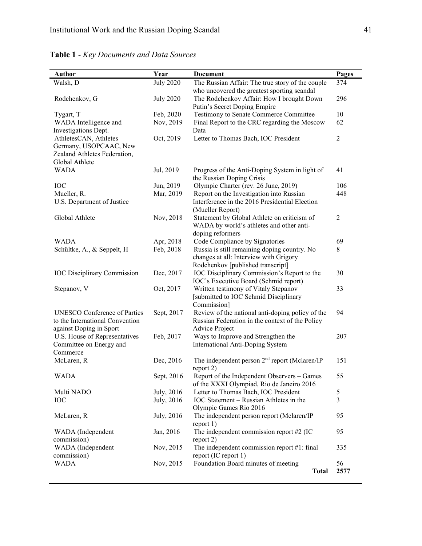| <b>Author</b>                       | Year             | <b>Document</b>                                           | Pages          |
|-------------------------------------|------------------|-----------------------------------------------------------|----------------|
| Walsh, D                            | <b>July 2020</b> | The Russian Affair: The true story of the couple          | 374            |
|                                     |                  | who uncovered the greatest sporting scandal               |                |
| Rodchenkov, G                       | <b>July 2020</b> | The Rodchenkov Affair: How I brought Down                 | 296            |
|                                     |                  | Putin's Secret Doping Empire                              |                |
| Tygart, T                           | Feb, 2020        | Testimony to Senate Commerce Committee                    | 10             |
| WADA Intelligence and               | Nov, 2019        | Final Report to the CRC regarding the Moscow              | 62             |
| Investigations Dept.                |                  | Data                                                      |                |
| AthletesCAN, Athletes               | Oct, 2019        | Letter to Thomas Bach, IOC President                      | $\overline{2}$ |
| Germany, USOPCAAC, New              |                  |                                                           |                |
| Zealand Athletes Federation,        |                  |                                                           |                |
| Global Athlete                      |                  |                                                           |                |
| <b>WADA</b>                         | Jul, 2019        | Progress of the Anti-Doping System in light of            | 41             |
|                                     |                  | the Russian Doping Crisis                                 |                |
| <b>IOC</b>                          | Jun, 2019        | Olympic Charter (rev. 26 June, 2019)                      | 106            |
| Mueller, R.                         | Mar, 2019        | Report on the Investigation into Russian                  | 448            |
| U.S. Department of Justice          |                  | Interference in the 2016 Presidential Election            |                |
|                                     |                  | (Mueller Report)                                          |                |
| Global Athlete                      | Nov, 2018        | Statement by Global Athlete on criticism of               | $\overline{2}$ |
|                                     |                  | WADA by world's athletes and other anti-                  |                |
|                                     |                  | doping reformers                                          |                |
| <b>WADA</b>                         | Apr, 2018        | Code Compliance by Signatories                            | 69             |
| Schültke, A., & Seppelt, H          | Feb, 2018        | Russia is still remaining doping country. No              | 8              |
|                                     |                  | changes at all: Interview with Grigory                    |                |
|                                     |                  | Rodchenkov [published transcript]                         |                |
| <b>IOC Disciplinary Commission</b>  | Dec, 2017        | IOC Disciplinary Commission's Report to the               | 30             |
|                                     |                  | IOC's Executive Board (Schmid report)                     |                |
| Stepanov, V                         | Oct, 2017        | Written testimony of Vitaly Stepanov                      | 33             |
|                                     |                  | [submitted to IOC Schmid Disciplinary                     |                |
|                                     |                  | Commission]                                               |                |
| <b>UNESCO Conference of Parties</b> | Sept, 2017       | Review of the national anti-doping policy of the          | 94             |
| to the International Convention     |                  | Russian Federation in the context of the Policy           |                |
| against Doping in Sport             |                  | Advice Project                                            |                |
| U.S. House of Representatives       | Feb, 2017        | Ways to Improve and Strengthen the                        | 207            |
| Committee on Energy and             |                  | International Anti-Doping System                          |                |
| Commerce                            |                  |                                                           |                |
| McLaren, R                          | Dec, 2016        | The independent person 2 <sup>nd</sup> report (Mclaren/IP | 151            |
|                                     |                  | report 2)                                                 |                |
| <b>WADA</b>                         | Sept, 2016       | Report of the Independent Observers - Games               | 55             |
|                                     |                  | of the XXXI Olympiad, Rio de Janeiro 2016                 |                |
| Multi NADO                          | July, 2016       | Letter to Thomas Bach, IOC President                      | 5              |
| <b>IOC</b>                          | July, 2016       | IOC Statement - Russian Athletes in the                   | $\overline{3}$ |
|                                     |                  | Olympic Games Rio 2016                                    |                |
| McLaren, R                          | July, 2016       | The independent person report (Mclaren/IP                 | 95             |
|                                     |                  | report 1)                                                 |                |
| WADA (Independent                   | Jan, 2016        | The independent commission report $#2$ (IC                | 95             |
| commission)                         |                  | report 2)                                                 |                |
| WADA (Independent                   | Nov, 2015        | The independent commission report #1: final               | 335            |
| commission)                         |                  | report (IC report 1)                                      |                |
| <b>WADA</b>                         | Nov, 2015        | Foundation Board minutes of meeting                       | 56             |
|                                     |                  | <b>Total</b>                                              | 2577           |

**Table 1** - *Key Documents and Data Sources*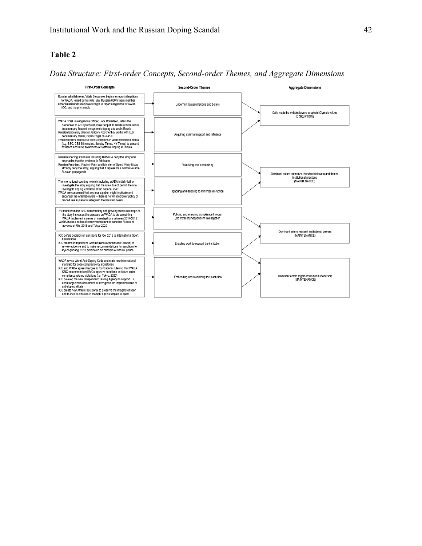#### **Table 2**

*Data Structure: First-order Concepts, Second-order Themes, and Aggregate Dimensions* 

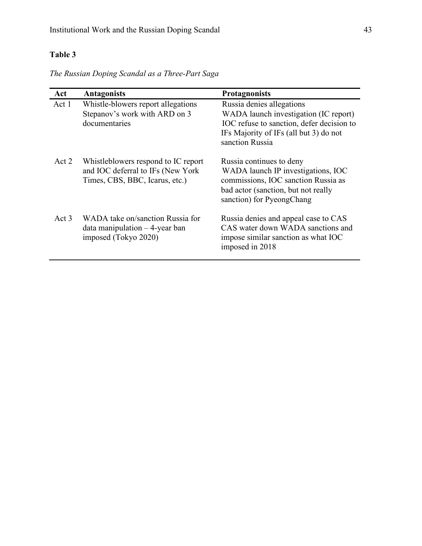## **Table 3**

*The Russian Doping Scandal as a Three-Part Saga*

| Act      | <b>Antagonists</b>                                                                                         | <b>Protagnonists</b>                                                                                                                                                         |
|----------|------------------------------------------------------------------------------------------------------------|------------------------------------------------------------------------------------------------------------------------------------------------------------------------------|
| Act 1    | Whistle-blowers report allegations<br>Stepanov's work with ARD on 3<br>documentaries                       | Russia denies allegations<br>WADA launch investigation (IC report)<br>IOC refuse to sanction, defer decision to<br>IFs Majority of IFs (all but 3) do not<br>sanction Russia |
| Act 2    | Whistleblowers respond to IC report<br>and IOC deferral to IFs (New York<br>Times, CBS, BBC, Icarus, etc.) | Russia continues to deny<br>WADA launch IP investigations, IOC<br>commissions, IOC sanction Russia as<br>bad actor (sanction, but not really<br>sanction) for PyeongChang    |
| $Act\,3$ | WADA take on/sanction Russia for<br>$data$ manipulation $-4$ -year ban<br>imposed (Tokyo 2020)             | Russia denies and appeal case to CAS<br>CAS water down WADA sanctions and<br>impose similar sanction as what IOC<br>imposed in 2018                                          |